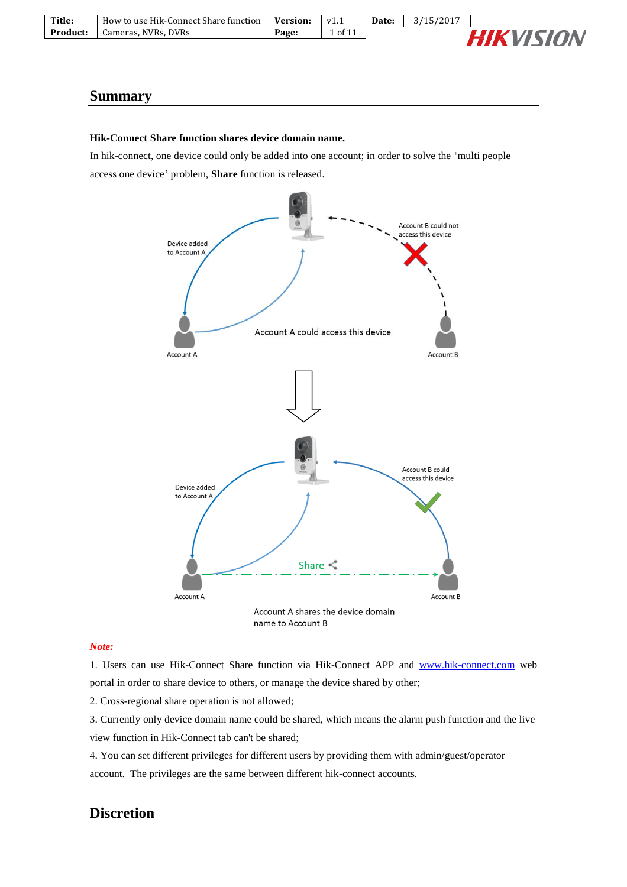| Title:   | How to use Hik-Connect Share function | <b>Version:</b> | VI. | Date: | /15/2017 |               |
|----------|---------------------------------------|-----------------|-----|-------|----------|---------------|
| Product: | Cameras, NVRs, DVRs                   | Page.           | Οf  |       |          | <b>ITSIAN</b> |
|          |                                       |                 |     |       |          |               |

#### **Summary**

#### **Hik-Connect Share function shares device domain name.**

In hik-connect, one device could only be added into one account; in order to solve the 'multi people access one device' problem, **Share** function is released.



#### *Note:*

1. Users can use Hik-Connect Share function via Hik-Connect APP and [www.hik-connect.com](http://www.hik-connect.com/) web portal in order to share device to others, or manage the device shared by other;

2. Cross-regional share operation is not allowed;

3. Currently only device domain name could be shared, which means the alarm push function and the live view function in Hik-Connect tab can't be shared;

4. You can set different privileges for different users by providing them with admin/guest/operator

account. The privileges are the same between different hik-connect accounts.

### **Discretion**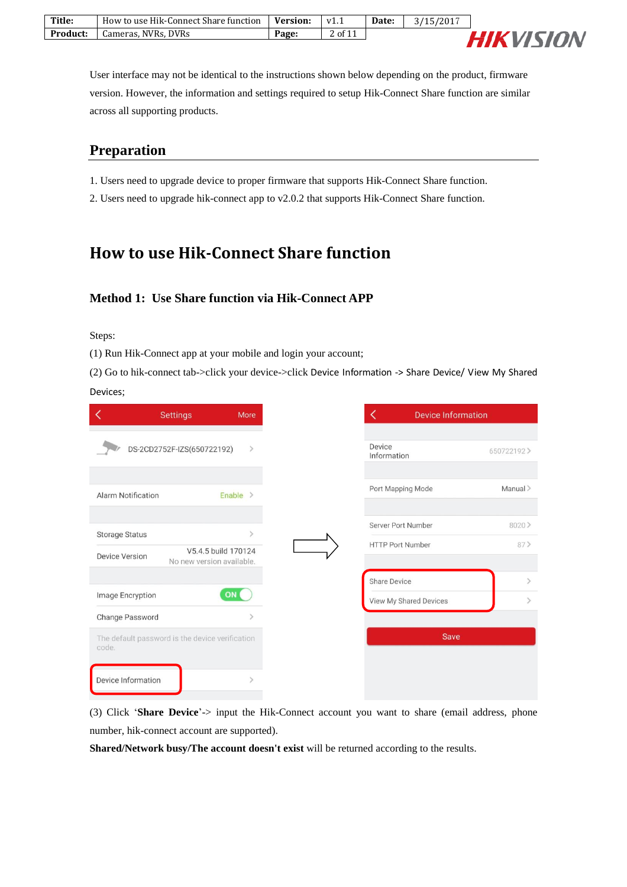| Title:          | How to use Hik-Connect Share function | <b>Version:</b> | v1.1                | Date: | /2017<br>$'15'$ . |               |
|-----------------|---------------------------------------|-----------------|---------------------|-------|-------------------|---------------|
| <b>Product:</b> | Cameras, NVRs, DVRs                   | Page:           | $\degree$ of $\Box$ |       |                   | <b>UISION</b> |
|                 |                                       |                 |                     |       |                   |               |

User interface may not be identical to the instructions shown below depending on the product, firmware version. However, the information and settings required to setup Hik-Connect Share function are similar across all supporting products.

### **Preparation**

- 1. Users need to upgrade device to proper firmware that supports Hik-Connect Share function.
- 2. Users need to upgrade hik-connect app to v2.0.2 that supports Hik-Connect Share function.

## **How to use Hik-Connect Share function**

### **Method 1: Use Share function via Hik-Connect APP**

Steps:

(1) Run Hik-Connect app at your mobile and login your account;

(2) Go to hik-connect tab->click your device->click Device Information -> Share Device/ View My Shared Devices;

|                           | <b>Settings</b>                                 | More                |
|---------------------------|-------------------------------------------------|---------------------|
|                           |                                                 |                     |
|                           | DS-2CD2752F-IZS(650722192)                      | $\rightarrow$       |
|                           |                                                 |                     |
| <b>Alarm Notification</b> |                                                 | Enable $>$          |
|                           |                                                 |                     |
| <b>Storage Status</b>     |                                                 |                     |
| <b>Device Version</b>     |                                                 | V5.4.5 build 170124 |
|                           | No new version available.                       |                     |
|                           |                                                 |                     |
| Image Encryption          |                                                 | ON                  |
| Change Password           |                                                 | $\rightarrow$       |
| code.                     | The default password is the device verification |                     |
|                           |                                                 |                     |
| Device Information        |                                                 |                     |
|                           |                                                 |                     |

(3) Click '**Share Device**'-> input the Hik-Connect account you want to share (email address, phone number, hik-connect account are supported).

**Shared/Network busy/The account doesn't exist** will be returned according to the results.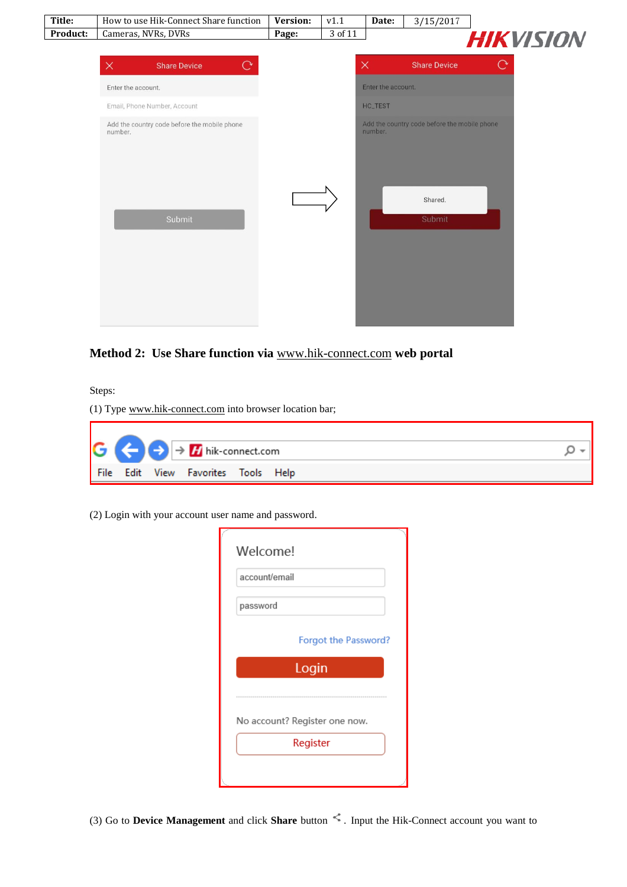

### **Method 2: Use Share function via** [www.hik-connect.com](http://www.hik-connect.com/) **web portal**

Steps:

(1) Type [www.hik-connect.com](http://www.hik-connect.com/) into browser location bar;



(2) Login with your account user name and password.

| account/email |                               |
|---------------|-------------------------------|
| password      |                               |
|               | <b>Forgot the Password?</b>   |
|               | Login                         |
|               | ----------------              |
|               | No account? Register one now. |
|               | Register                      |

(3) Go to **Device Management** and click **Share** button . Input the Hik-Connect account you want to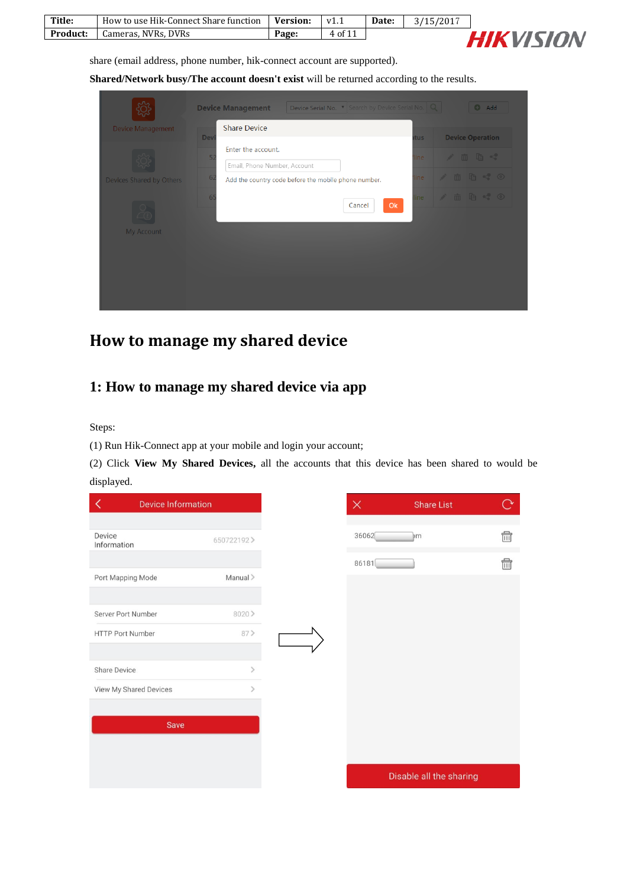| Title:          | How to use Hik-Connect Share function | <b>Version:</b> | V1.1    | Date: | 3/15/2017 |
|-----------------|---------------------------------------|-----------------|---------|-------|-----------|
| <b>Product:</b> | Cameras, NVRs, DVRs                   | Page:           | 4 of 11 |       |           |



share (email address, phone number, hik-connect account are supported).

**Shared/Network busy/The account doesn't exist** will be returned according to the results.

| <b>Device Management</b>        | <b>Share Device</b><br>Dev           |                                                      | tus  | <b>Device Operation</b>            |
|---------------------------------|--------------------------------------|------------------------------------------------------|------|------------------------------------|
|                                 | Enter the account.<br>5 <sub>i</sub> |                                                      | ine  | ノ血脂や                               |
|                                 | Email, Phone Number, Account<br>6    |                                                      | line | $\sqrt{a}$ to $\sim$               |
| <b>Devices Shared by Others</b> |                                      | Add the country code before the mobile phone number. |      |                                    |
|                                 | 6                                    | Ok<br>Cancel                                         | ine  | $\angle$ m m s $\degree$ $\degree$ |
|                                 |                                      |                                                      |      |                                    |
| <b>My Account</b>               |                                      |                                                      |      |                                    |
|                                 |                                      |                                                      |      |                                    |
|                                 |                                      |                                                      |      |                                    |

## **How to manage my shared device**

## **1: How to manage my shared device via app**

Steps:

(1) Run Hik-Connect app at your mobile and login your account;

(2) Click **View My Shared Devices,** all the accounts that this device has been shared to would be displayed.

| <b>Device Information</b> |                              | $\times$ | <b>Share List</b>       |  |
|---------------------------|------------------------------|----------|-------------------------|--|
|                           |                              |          |                         |  |
| Device<br>Information     | 650722192>                   | 36062    | $~\mathsf{Im}$          |  |
|                           |                              | 86181    |                         |  |
| Port Mapping Mode         | Manual >                     |          |                         |  |
| Server Port Number        | 8020>                        |          |                         |  |
| <b>HTTP Port Number</b>   | 87                           |          |                         |  |
| Share Device              | $\mathcal{P}$                |          |                         |  |
| View My Shared Devices    | $\left\langle \right\rangle$ |          |                         |  |
| Save                      |                              |          |                         |  |
|                           |                              |          |                         |  |
|                           |                              |          | Disable all the sharing |  |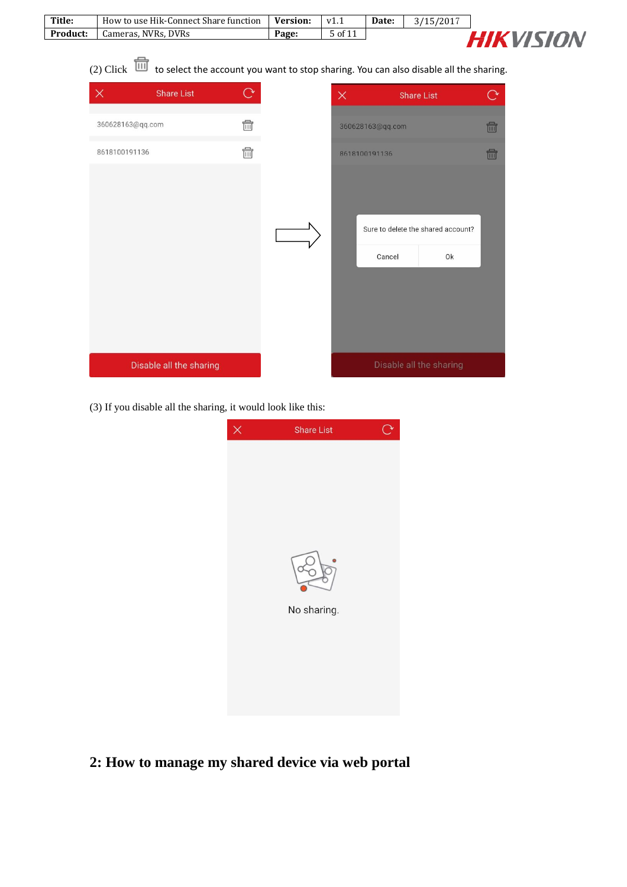| Title:   | How to use Hik-Connect Share function | <b>Version:</b> | V1.1    | Date: | 3/15/2017 |
|----------|---------------------------------------|-----------------|---------|-------|-----------|
| Product: | Cameras. NVRs. DVRs                   | Page:           | 5 of 11 |       |           |



(2) Click  $\overline{1}\overline{1}\overline{1}$  to select the account you want to stop sharing. You can also disable all the sharing.

| $\times$         | <b>Share List</b>       |                        | $\times$      |                         | <b>Share List</b>                        | $\rightarrow$ |
|------------------|-------------------------|------------------------|---------------|-------------------------|------------------------------------------|---------------|
| 360628163@qq.com |                         | $\widehat{\mathbb{m}}$ |               | 360628163@qq.com        |                                          | fil           |
| 8618100191136    |                         | $\widehat{\mathbb{m}}$ | 8618100191136 |                         |                                          | fil           |
|                  |                         |                        |               | Cancel                  | Sure to delete the shared account?<br>Ok |               |
|                  | Disable all the sharing |                        |               | Disable all the sharing |                                          |               |

(3) If you disable all the sharing, it would look like this:



**2: How to manage my shared device via web portal**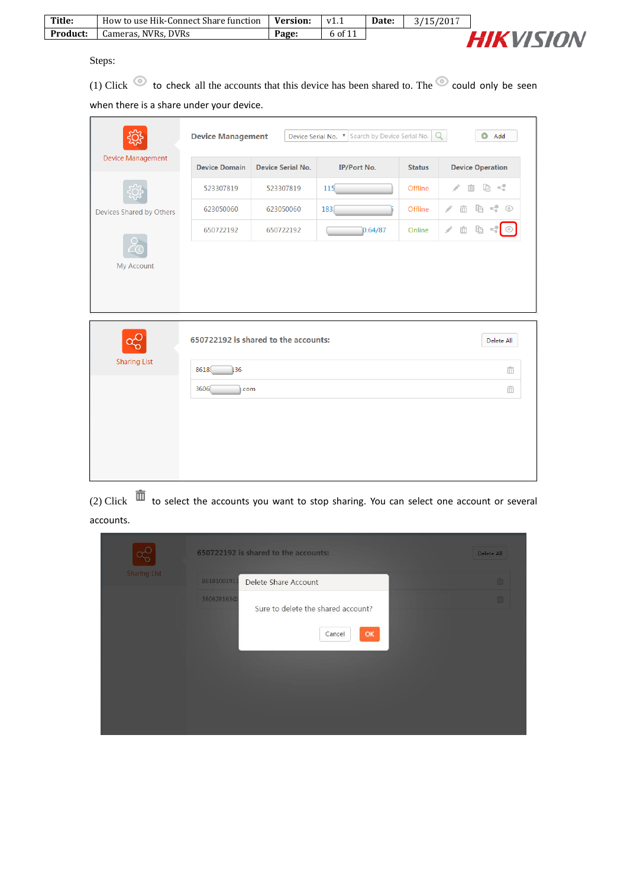| Title:          | How to use Hik-Connect Share function | <b>Version:</b> | v1.1    | Date: | 3/15/2017 |                  |
|-----------------|---------------------------------------|-----------------|---------|-------|-----------|------------------|
| <b>Product:</b> | Cameras, NVRs, DVRs                   | Page:           | 6 of 11 |       |           | <b>HIKVISION</b> |
|                 |                                       |                 |         |       |           |                  |

Steps:

(1) Click  $\bullet$  to check all the accounts that this device has been shared to. The  $\bullet$  could only be seen when there is a share under your device.

|                          | Device Serial No. <b>v</b> Search by Device Serial No.<br>$\Omega$<br><b>Device Management</b><br>Add<br>o |                                      |                    |               |                              |  |  |
|--------------------------|------------------------------------------------------------------------------------------------------------|--------------------------------------|--------------------|---------------|------------------------------|--|--|
| Device Management        | <b>Device Domain</b>                                                                                       | <b>Device Serial No.</b>             | <b>IP/Port No.</b> | <b>Status</b> | <b>Device Operation</b>      |  |  |
|                          | 523307819                                                                                                  | 523307819                            | 115                | Offline       | 重 <*<br>ŵ<br>P               |  |  |
| Devices Shared by Others | 623050060                                                                                                  | 623050060                            | 183(               | Offline       | чŞ<br>þ<br>$\odot$<br>P<br>ŵ |  |  |
|                          | 650722192                                                                                                  | 650722192                            | 0.64/87            | Online        | Þ<br>P<br>m                  |  |  |
|                          |                                                                                                            |                                      |                    |               |                              |  |  |
| My Account               |                                                                                                            |                                      |                    |               |                              |  |  |
|                          |                                                                                                            |                                      |                    |               |                              |  |  |
|                          |                                                                                                            |                                      |                    |               |                              |  |  |
|                          |                                                                                                            | 650722192 is shared to the accounts: |                    |               | Delete All                   |  |  |
| <b>Sharing List</b>      | 8618<br>136                                                                                                |                                      |                    |               | ŵ                            |  |  |
|                          | 3606<br>.com                                                                                               |                                      |                    |               | ŵ                            |  |  |
|                          |                                                                                                            |                                      |                    |               |                              |  |  |
|                          |                                                                                                            |                                      |                    |               |                              |  |  |
|                          |                                                                                                            |                                      |                    |               |                              |  |  |
|                          |                                                                                                            |                                      |                    |               |                              |  |  |

(2) Click  $\bar{m}$  to select the accounts you want to stop sharing. You can select one account or several accounts.

|                     |             | 650722192 is shared to the accounts:               | Delete All |
|---------------------|-------------|----------------------------------------------------|------------|
| <b>Sharing List</b> | 86181001911 | Delete Share Account                               | 面          |
|                     | 360628163@  | Sure to delete the shared account?<br>OK<br>Cancel | 面          |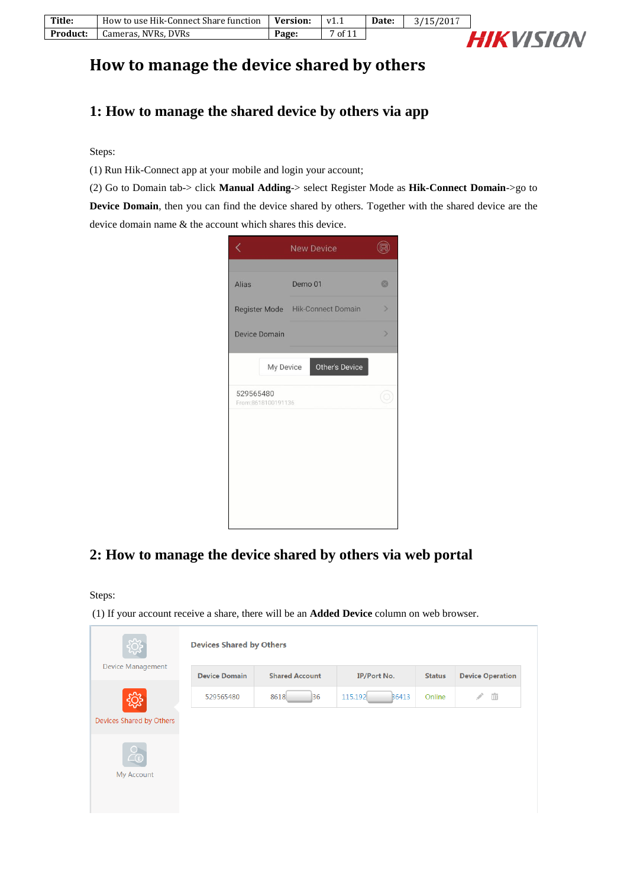| Title:   | How to use Hik-Connect Share function | Version: | V1.1    | Date: | 3/15/2017 |
|----------|---------------------------------------|----------|---------|-------|-----------|
| Product: | Cameras, NVRs, DVRs                   | Page:    | 7 of 11 |       |           |



# **How to manage the device shared by others**

## **1: How to manage the shared device by others via app**

Steps:

(1) Run Hik-Connect app at your mobile and login your account;

(2) Go to Domain tab-> click **Manual Adding**-> select Register Mode as **Hik-Connect Domain**->go to

**Device Domain**, then you can find the device shared by others. Together with the shared device are the device domain name & the account which shares this device.



### **2: How to manage the device shared by others via web portal**

Steps:

(1) If your account receive a share, there will be an **Added Device** column on web browser.

|                          | <b>Devices Shared by Others</b> |                       |                         |               |                         |  |  |
|--------------------------|---------------------------------|-----------------------|-------------------------|---------------|-------------------------|--|--|
| Device Management        | <b>Device Domain</b>            | <b>Shared Account</b> | <b>IP/Port No.</b>      | <b>Status</b> | <b>Device Operation</b> |  |  |
|                          | 529565480                       | 8618<br> 36           | 115.192<br><b>B6413</b> | Online        | ŵ<br>Í                  |  |  |
| Devices Shared by Others |                                 |                       |                         |               |                         |  |  |
| $\bigcirc$               |                                 |                       |                         |               |                         |  |  |
| My Account               |                                 |                       |                         |               |                         |  |  |
|                          |                                 |                       |                         |               |                         |  |  |